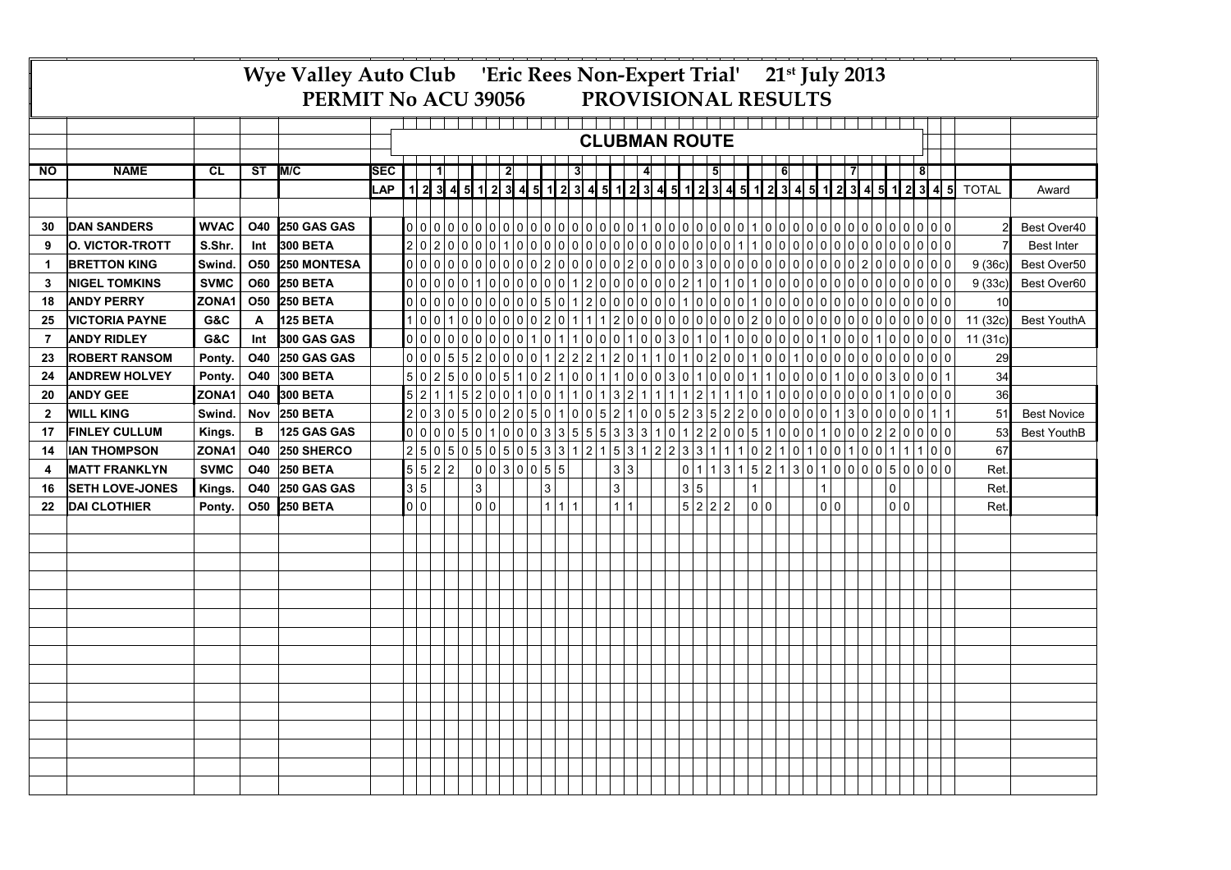|              | Wye Valley Auto Club 'Eric Rees Non-Expert Trial' 21st July 2013<br>PROVISIONAL RESULTS<br>PERMIT No ACU 39056 |             |            |                 |            |  |                                                                                     |  |                      |              |  |   |  |                                               |       |   |  |                |  |                                                                          |  |         |                |  |                |                |  |     |   |  |                |                |                                       |                                                                                                                        |          |                    |  |
|--------------|----------------------------------------------------------------------------------------------------------------|-------------|------------|-----------------|------------|--|-------------------------------------------------------------------------------------|--|----------------------|--------------|--|---|--|-----------------------------------------------|-------|---|--|----------------|--|--------------------------------------------------------------------------|--|---------|----------------|--|----------------|----------------|--|-----|---|--|----------------|----------------|---------------------------------------|------------------------------------------------------------------------------------------------------------------------|----------|--------------------|--|
|              |                                                                                                                |             |            |                 |            |  |                                                                                     |  | <b>CLUBMAN ROUTE</b> |              |  |   |  |                                               |       |   |  |                |  |                                                                          |  |         |                |  |                |                |  |     |   |  |                |                |                                       |                                                                                                                        |          |                    |  |
|              |                                                                                                                |             |            |                 |            |  |                                                                                     |  |                      |              |  |   |  |                                               |       |   |  |                |  |                                                                          |  |         |                |  |                |                |  |     |   |  |                |                |                                       |                                                                                                                        |          |                    |  |
| <b>NO</b>    | <b>NAME</b>                                                                                                    | <b>CL</b>   | ST         | M/C             | <b>SEC</b> |  |                                                                                     |  |                      |              |  | 2 |  |                                               |       | 3 |  |                |  | $\overline{4}$                                                           |  |         | $\overline{5}$ |  |                | 6 <sup>1</sup> |  |     | 7 |  |                | $\overline{8}$ |                                       |                                                                                                                        |          |                    |  |
|              |                                                                                                                |             |            |                 | LAP        |  |                                                                                     |  |                      |              |  |   |  |                                               |       |   |  |                |  |                                                                          |  |         |                |  |                |                |  |     |   |  |                |                |                                       | │ 1│ 2│ 3│ 4│ 5│ 1│ 2│ 3│ 4│ 5│ 1│ 2│ 3│ 4│ 5│ 1│ 2│ 3│ 4│ 5│ 1│ 2│ 3│ 4│ 5│ 1│ 2│ 3│ 4│ 5│ 1│ 2│ 3│ 4│ 5│ 4│ 5│ ⊤OTAL |          | Award              |  |
|              |                                                                                                                |             |            |                 |            |  |                                                                                     |  |                      |              |  |   |  |                                               |       |   |  |                |  |                                                                          |  |         |                |  |                |                |  |     |   |  |                |                |                                       |                                                                                                                        |          |                    |  |
| 30           | <b>DAN SANDERS</b>                                                                                             | <b>WVAC</b> | <b>O40</b> | 250 GAS GAS     |            |  |                                                                                     |  |                      |              |  |   |  |                                               |       |   |  |                |  |                                                                          |  |         |                |  |                |                |  |     |   |  |                |                |                                       |                                                                                                                        |          | Best Over40        |  |
| 9            | <b>O. VICTOR-TROTT</b>                                                                                         | S.Shr.      | Int        | 300 BETA        |            |  |                                                                                     |  |                      |              |  |   |  |                                               |       |   |  |                |  |                                                                          |  |         |                |  |                |                |  |     |   |  |                |                |                                       |                                                                                                                        |          | <b>Best Inter</b>  |  |
| 1            | <b>BRETTON KING</b>                                                                                            | Swind.      | <b>O50</b> | 250 MONTESA     |            |  |                                                                                     |  |                      |              |  |   |  |                                               |       |   |  |                |  |                                                                          |  |         |                |  |                |                |  |     |   |  |                |                |                                       |                                                                                                                        | 9(36c)   | Best Over50        |  |
| 3            | <b>NIGEL TOMKINS</b>                                                                                           | <b>SVMC</b> | <b>O60</b> | <b>250 BETA</b> |            |  |                                                                                     |  |                      |              |  |   |  |                                               |       |   |  |                |  |                                                                          |  |         |                |  |                |                |  |     |   |  |                |                |                                       |                                                                                                                        | 9(33c)   | Best Over60        |  |
| 18           | <b>ANDY PERRY</b>                                                                                              | ZONA1       | <b>O50</b> | <b>250 BETA</b> |            |  |                                                                                     |  |                      |              |  |   |  |                                               |       |   |  |                |  |                                                                          |  |         |                |  |                |                |  |     |   |  |                |                |                                       |                                                                                                                        | 10       |                    |  |
| 25           | <b>VICTORIA PAYNE</b>                                                                                          | G&C         | Α          | 125 BETA        |            |  |                                                                                     |  |                      |              |  |   |  |                                               |       |   |  |                |  |                                                                          |  |         |                |  |                |                |  |     |   |  |                |                |                                       |                                                                                                                        | 11 (32c) | <b>Best YouthA</b> |  |
| 7            | <b>ANDY RIDLEY</b>                                                                                             | G&C         | Int        | 300 GAS GAS     |            |  |                                                                                     |  |                      |              |  |   |  |                                               |       |   |  |                |  |                                                                          |  |         |                |  |                |                |  |     |   |  |                |                |                                       |                                                                                                                        | 11(31c)  |                    |  |
| 23           | <b>ROBERT RANSOM</b>                                                                                           | Ponty.      | <b>O40</b> | 250 GAS GAS     |            |  |                                                                                     |  |                      |              |  |   |  |                                               |       |   |  |                |  |                                                                          |  |         |                |  |                |                |  |     |   |  |                |                |                                       |                                                                                                                        | 29       |                    |  |
| 24           | <b>ANDREW HOLVEY</b>                                                                                           | Ponty.      | <b>O40</b> | 300 BETA        |            |  |                                                                                     |  |                      |              |  |   |  |                                               |       |   |  |                |  |                                                                          |  |         |                |  |                |                |  |     |   |  |                |                |                                       |                                                                                                                        | 34       |                    |  |
| 20           | <b>ANDY GEE</b>                                                                                                | ZONA1       | <b>O40</b> | 300 BETA        |            |  | $\vert 5 \vert 2 \vert$                                                             |  |                      |              |  |   |  | $1\,5\,2\,0\,0\,1\,0\,0\,1\,1\,0\,1\,3\,2\,1$ |       |   |  |                |  |                                                                          |  |         |                |  |                |                |  |     |   |  |                |                | $1112111101000000000100100000$        |                                                                                                                        | 36       |                    |  |
| $\mathbf{2}$ | <b>WILL KING</b>                                                                                               | Swind.      | <b>Nov</b> | <b>250 BETA</b> |            |  | 2 0 3                                                                               |  |                      |              |  |   |  |                                               |       |   |  |                |  | $ 0 5 0 0 2 0 5 0 1 0 0 5 2 1 0 0 5 2 3 5 2 2 0 0 0 0 0 1 3 0 0 0 0 1 1$ |  |         |                |  |                |                |  |     |   |  |                |                |                                       |                                                                                                                        | 51       | <b>Best Novice</b> |  |
| 17           | <b>FINLEY CULLUM</b>                                                                                           | Kings.      | в          | 125 GAS GAS     |            |  | $ 0 0 0 0 5 0 1 0 0 0 3 3 5 5 5 3 3 3 1 0 1 2 2 0 0 5 1 0 0 0 1 0 0 0 2 2 0 0 0 0 $ |  |                      |              |  |   |  |                                               |       |   |  |                |  |                                                                          |  |         |                |  |                |                |  |     |   |  |                |                |                                       |                                                                                                                        | 53       | <b>Best YouthB</b> |  |
| 14           | <b>IAN THOMPSON</b>                                                                                            | ZONA1       | <b>O40</b> | 250 SHERCO      |            |  | $250505050505331215312223311110210101001001100111000$                               |  |                      |              |  |   |  |                                               |       |   |  |                |  |                                                                          |  |         |                |  |                |                |  |     |   |  |                |                |                                       |                                                                                                                        | 67       |                    |  |
| 4            | <b>MATT FRANKLYN</b>                                                                                           | <b>SVMC</b> | <b>O40</b> | <b>250 BETA</b> |            |  |                                                                                     |  |                      |              |  |   |  | 0 0 3 0 0 5 5                                 |       |   |  | 3 3            |  |                                                                          |  |         |                |  |                |                |  |     |   |  |                |                | 0 1 1 3 1 5 2 1 3 0 1 0 0 0 5 0 0 0 0 |                                                                                                                        | Ret      |                    |  |
| 16           | <b>SETH LOVE-JONES</b>                                                                                         | Kings.      | O40        | 250 GAS GAS     |            |  | 3 5                                                                                 |  |                      | $\mathbf{3}$ |  |   |  | 3                                             |       |   |  | $\overline{3}$ |  |                                                                          |  | 3 5     |                |  | $\overline{1}$ |                |  |     |   |  | $\overline{0}$ |                |                                       |                                                                                                                        | Ret.     |                    |  |
| 22           | <b>DAI CLOTHIER</b>                                                                                            | Ponty.      | <b>O50</b> | <b>250 BETA</b> |            |  | 0 0                                                                                 |  |                      | 0 0          |  |   |  |                                               | 1 1 1 |   |  | 1 1            |  |                                                                          |  | 5 2 2 2 |                |  | 0 0            |                |  | 0 0 |   |  | 0 0            |                |                                       |                                                                                                                        | Ret.     |                    |  |
|              |                                                                                                                |             |            |                 |            |  |                                                                                     |  |                      |              |  |   |  |                                               |       |   |  |                |  |                                                                          |  |         |                |  |                |                |  |     |   |  |                |                |                                       |                                                                                                                        |          |                    |  |
|              |                                                                                                                |             |            |                 |            |  |                                                                                     |  |                      |              |  |   |  |                                               |       |   |  |                |  |                                                                          |  |         |                |  |                |                |  |     |   |  |                |                |                                       |                                                                                                                        |          |                    |  |
|              |                                                                                                                |             |            |                 |            |  |                                                                                     |  |                      |              |  |   |  |                                               |       |   |  |                |  |                                                                          |  |         |                |  |                |                |  |     |   |  |                |                |                                       |                                                                                                                        |          |                    |  |
|              |                                                                                                                |             |            |                 |            |  |                                                                                     |  |                      |              |  |   |  |                                               |       |   |  |                |  |                                                                          |  |         |                |  |                |                |  |     |   |  |                |                |                                       |                                                                                                                        |          |                    |  |
|              |                                                                                                                |             |            |                 |            |  |                                                                                     |  |                      |              |  |   |  |                                               |       |   |  |                |  |                                                                          |  |         |                |  |                |                |  |     |   |  |                |                |                                       |                                                                                                                        |          |                    |  |
|              |                                                                                                                |             |            |                 |            |  |                                                                                     |  |                      |              |  |   |  |                                               |       |   |  |                |  |                                                                          |  |         |                |  |                |                |  |     |   |  |                |                |                                       |                                                                                                                        |          |                    |  |
|              |                                                                                                                |             |            |                 |            |  |                                                                                     |  |                      |              |  |   |  |                                               |       |   |  |                |  |                                                                          |  |         |                |  |                |                |  |     |   |  |                |                |                                       |                                                                                                                        |          |                    |  |
|              |                                                                                                                |             |            |                 |            |  |                                                                                     |  |                      |              |  |   |  |                                               |       |   |  |                |  |                                                                          |  |         |                |  |                |                |  |     |   |  |                |                |                                       |                                                                                                                        |          |                    |  |
|              |                                                                                                                |             |            |                 |            |  |                                                                                     |  |                      |              |  |   |  |                                               |       |   |  |                |  |                                                                          |  |         |                |  |                |                |  |     |   |  |                |                |                                       |                                                                                                                        |          |                    |  |
|              |                                                                                                                |             |            |                 |            |  |                                                                                     |  |                      |              |  |   |  |                                               |       |   |  |                |  |                                                                          |  |         |                |  |                |                |  |     |   |  |                |                |                                       |                                                                                                                        |          |                    |  |
|              |                                                                                                                |             |            |                 |            |  |                                                                                     |  |                      |              |  |   |  |                                               |       |   |  |                |  |                                                                          |  |         |                |  |                |                |  |     |   |  |                |                |                                       |                                                                                                                        |          |                    |  |
|              |                                                                                                                |             |            |                 |            |  |                                                                                     |  |                      |              |  |   |  |                                               |       |   |  |                |  |                                                                          |  |         |                |  |                |                |  |     |   |  |                |                |                                       |                                                                                                                        |          |                    |  |
|              |                                                                                                                |             |            |                 |            |  |                                                                                     |  |                      |              |  |   |  |                                               |       |   |  |                |  |                                                                          |  |         |                |  |                |                |  |     |   |  |                |                |                                       |                                                                                                                        |          |                    |  |
|              |                                                                                                                |             |            |                 |            |  |                                                                                     |  |                      |              |  |   |  |                                               |       |   |  |                |  |                                                                          |  |         |                |  |                |                |  |     |   |  |                |                |                                       |                                                                                                                        |          |                    |  |
|              |                                                                                                                |             |            |                 |            |  |                                                                                     |  |                      |              |  |   |  |                                               |       |   |  |                |  |                                                                          |  |         |                |  |                |                |  |     |   |  |                |                |                                       |                                                                                                                        |          |                    |  |